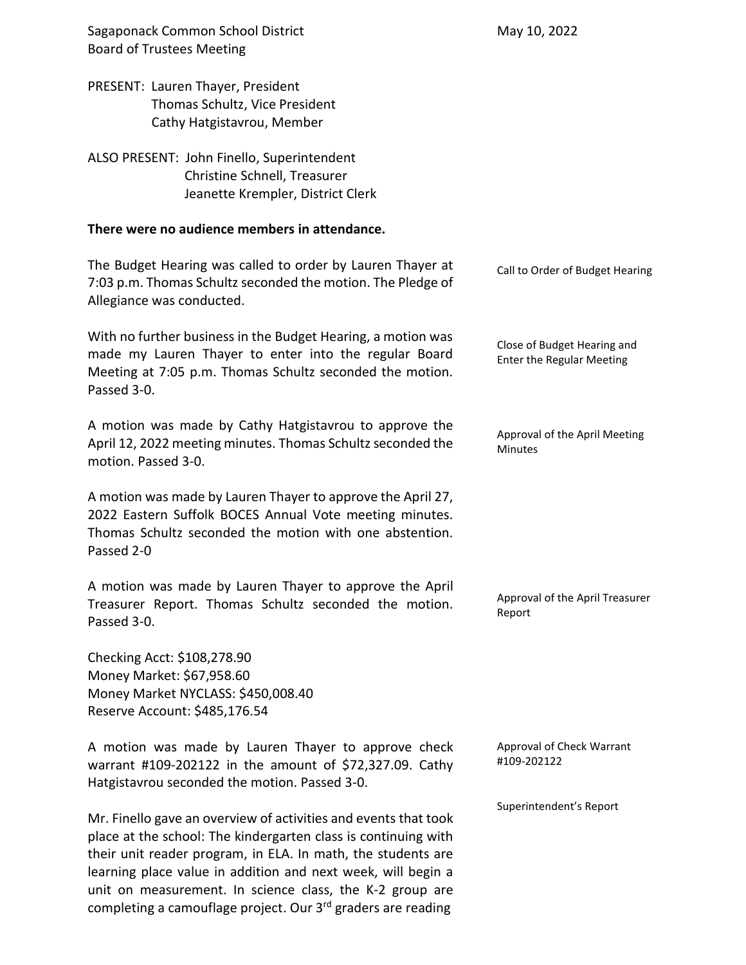Sagaponack Common School District Board of Trustees Meeting PRESENT: Lauren Thayer, President Thomas Schultz, Vice President Cathy Hatgistavrou, Member ALSO PRESENT: John Finello, Superintendent Christine Schnell, Treasurer Jeanette Krempler, District Clerk **There were no audience members in attendance.** The Budget Hearing was called to order by Lauren Thayer at 7:03 p.m. Thomas Schultz seconded the motion. The Pledge of Allegiance was conducted. With no further business in the Budget Hearing, a motion was made my Lauren Thayer to enter into the regular Board Meeting at 7:05 p.m. Thomas Schultz seconded the motion. Passed 3-0. A motion was made by Cathy Hatgistavrou to approve the April 12, 2022 meeting minutes. Thomas Schultz seconded the motion. Passed 3-0. A motion was made by Lauren Thayer to approve the April 27, 2022 Eastern Suffolk BOCES Annual Vote meeting minutes. Thomas Schultz seconded the motion with one abstention. Passed 2-0 A motion was made by Lauren Thayer to approve the April Treasurer Report. Thomas Schultz seconded the motion. Passed 3-0. Checking Acct: \$108,278.90 Money Market: \$67,958.60 Money Market NYCLASS: \$450,008.40 Reserve Account: \$485,176.54 A motion was made by Lauren Thayer to approve check warrant #109-202122 in the amount of \$72,327.09. Cathy Hatgistavrou seconded the motion. Passed 3-0. Mr. Finello gave an overview of activities and events that took place at the school: The kindergarten class is continuing with May 10, 2022 Call to Order of Budget Hearing Close of Budget Hearing and Enter the Regular Meeting Approval of the April Meeting Minutes Approval of the April Treasurer Report Approval of Check Warrant #109-202122 Superintendent's Report

their unit reader program, in ELA. In math, the students are learning place value in addition and next week, will begin a unit on measurement. In science class, the K-2 group are completing a camouflage project. Our 3rd graders are reading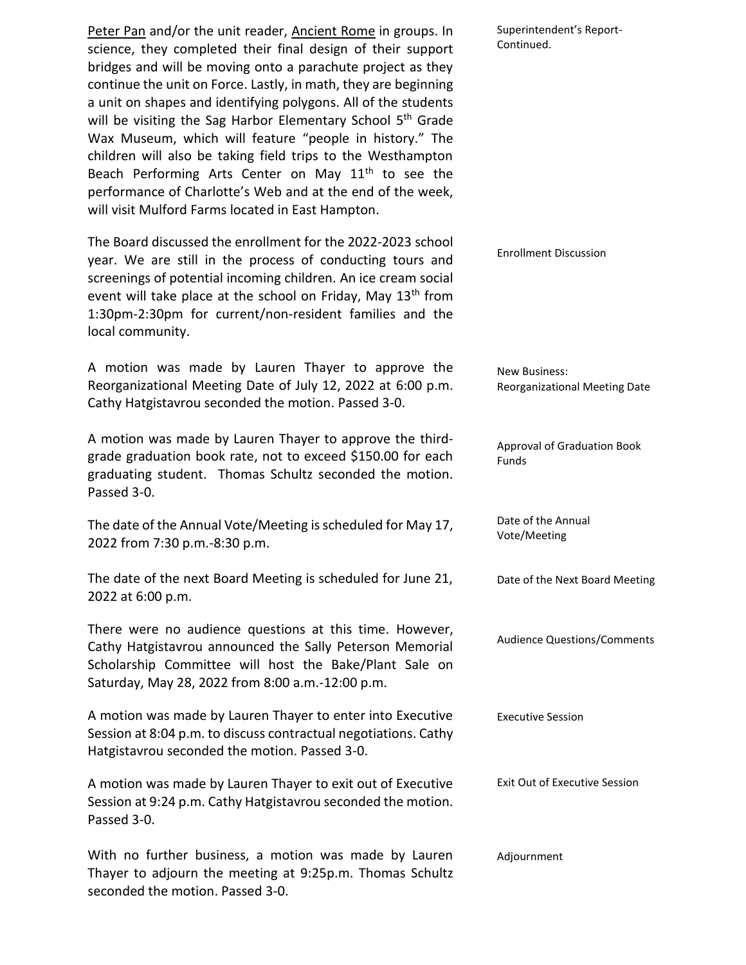Peter Pan and/or the unit reader, Ancient Rome in groups. In science, they completed their final design of their support bridges and will be moving onto a parachute project as they continue the unit on Force. Lastly, in math, they are beginning a unit on shapes and identifying polygons. All of the students will be visiting the Sag Harbor Elementary School 5<sup>th</sup> Grade Wax Museum, which will feature "people in history." The children will also be taking field trips to the Westhampton Beach Performing Arts Center on May 11<sup>th</sup> to see the performance of Charlotte's Web and at the end of the week, will visit Mulford Farms located in East Hampton.

The Board discussed the enrollment for the 2022-2023 school year. We are still in the process of conducting tours and screenings of potential incoming children. An ice cream social event will take place at the school on Friday, May 13<sup>th</sup> from 1:30pm-2:30pm for current/non-resident families and the local community.

A motion was made by Lauren Thayer to approve the Reorganizational Meeting Date of July 12, 2022 at 6:00 p.m. Cathy Hatgistavrou seconded the motion. Passed 3-0.

A motion was made by Lauren Thayer to approve the thirdgrade graduation book rate, not to exceed \$150.00 for each graduating student. Thomas Schultz seconded the motion. Passed 3-0.

The date of the Annual Vote/Meeting is scheduled for May 17, 2022 from 7:30 p.m.-8:30 p.m.

The date of the next Board Meeting is scheduled for June 21, 2022 at 6:00 p.m.

There were no audience questions at this time. However, Cathy Hatgistavrou announced the Sally Peterson Memorial Scholarship Committee will host the Bake/Plant Sale on Saturday, May 28, 2022 from 8:00 a.m.-12:00 p.m.

A motion was made by Lauren Thayer to enter into Executive Session at 8:04 p.m. to discuss contractual negotiations. Cathy Hatgistavrou seconded the motion. Passed 3-0.

A motion was made by Lauren Thayer to exit out of Executive Session at 9:24 p.m. Cathy Hatgistavrou seconded the motion. Passed 3-0.

With no further business, a motion was made by Lauren Thayer to adjourn the meeting at 9:25p.m. Thomas Schultz seconded the motion. Passed 3-0.

Superintendent's Report-Continued.

Enrollment Discussion

New Business: Reorganizational Meeting Date

Approval of Graduation Book Funds

Date of the Annual Vote/Meeting

Date of the Next Board Meeting

Audience Questions/Comments

Executive Session

Exit Out of Executive Session

Adjournment